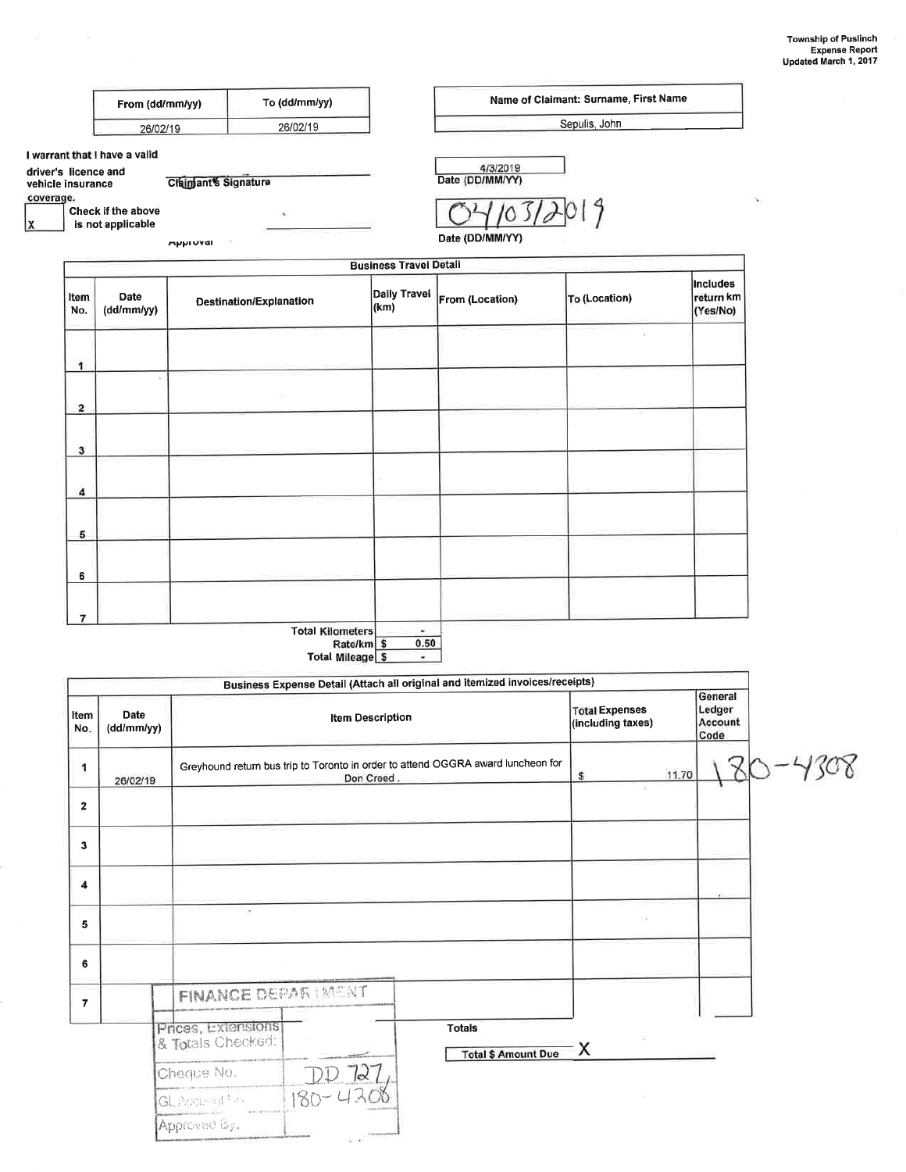Name of Claimant: Surname, First Name

|                                           | From (dd/mm/yy)                         |                                | To (dd/mm/yy)                  |                                                                  | Name of Claimant: Surname, First Name             |                                                                                  |                                            |       |                                          |         |
|-------------------------------------------|-----------------------------------------|--------------------------------|--------------------------------|------------------------------------------------------------------|---------------------------------------------------|----------------------------------------------------------------------------------|--------------------------------------------|-------|------------------------------------------|---------|
|                                           | 26/02/19                                |                                | 26/02/19                       |                                                                  |                                                   |                                                                                  | Sepulis, John                              |       |                                          |         |
|                                           | I warrant that I have a valid           |                                |                                |                                                                  |                                                   |                                                                                  |                                            |       |                                          |         |
| driver's licence and<br>vehicle insurance |                                         | <b>Claimant's Signature</b>    |                                |                                                                  |                                                   | 4/3/2019<br>Date (DD/MM/YY)                                                      |                                            |       |                                          |         |
| coverage.                                 |                                         |                                |                                |                                                                  |                                                   |                                                                                  |                                            |       |                                          |         |
|                                           | Check if the above<br>is not applicable |                                | ×.                             |                                                                  |                                                   |                                                                                  | 9                                          |       |                                          |         |
|                                           |                                         | <b>Apploval</b>                |                                |                                                                  |                                                   | Date (DD/MM/YY)                                                                  |                                            |       |                                          |         |
|                                           |                                         |                                |                                |                                                                  | <b>Business Travel Detail</b>                     |                                                                                  |                                            |       |                                          |         |
| Item<br>No.                               | Date<br>(dd/mm/yy)                      |                                | <b>Destination/Explanation</b> |                                                                  | <b>Daily Travel</b><br>(km)                       | From (Location)                                                                  | To (Location)                              |       | <b>Includes</b><br>return km<br>(Yes/No) |         |
| 1                                         |                                         |                                |                                |                                                                  |                                                   |                                                                                  |                                            |       |                                          |         |
|                                           |                                         |                                |                                |                                                                  |                                                   |                                                                                  |                                            |       |                                          |         |
| $\overline{\mathbf{2}}$                   |                                         |                                | 53                             |                                                                  |                                                   |                                                                                  |                                            |       |                                          |         |
|                                           |                                         |                                |                                |                                                                  |                                                   |                                                                                  |                                            |       |                                          |         |
| 3                                         |                                         |                                |                                |                                                                  |                                                   |                                                                                  |                                            |       |                                          |         |
|                                           |                                         |                                |                                |                                                                  |                                                   |                                                                                  |                                            |       |                                          |         |
| 4                                         |                                         |                                |                                |                                                                  |                                                   |                                                                                  |                                            |       |                                          |         |
|                                           |                                         |                                |                                |                                                                  |                                                   |                                                                                  |                                            |       |                                          |         |
| 5                                         |                                         |                                |                                |                                                                  |                                                   |                                                                                  |                                            |       |                                          |         |
| 6                                         |                                         |                                |                                |                                                                  |                                                   |                                                                                  |                                            |       |                                          |         |
|                                           |                                         |                                |                                |                                                                  |                                                   |                                                                                  |                                            |       |                                          |         |
| 7                                         |                                         |                                |                                |                                                                  |                                                   |                                                                                  |                                            |       |                                          |         |
|                                           |                                         |                                |                                | <b>Total Kilometers</b><br>Rate/km \$<br><b>Total Mileage \$</b> | $\overline{\phantom{a}}$<br>0.50<br>$\frac{1}{2}$ |                                                                                  |                                            |       |                                          |         |
|                                           |                                         |                                |                                |                                                                  |                                                   | Business Expense Detail (Attach all original and itemized invoices/receipts)     |                                            |       | General                                  |         |
| Item<br>No.                               | Date<br>(dd/mm/yy)                      |                                |                                | <b>Item Description</b>                                          |                                                   |                                                                                  | <b>Total Expenses</b><br>(including taxes) |       | Ledger<br>Account<br>Code                |         |
| 1                                         |                                         |                                |                                | Don Creed                                                        |                                                   | Greyhound return bus trip to Toronto in order to attend OGGRA award luncheon for | $\mathbb{S}$                               | 11.70 |                                          | 80-4308 |
|                                           | 26/02/19                                |                                |                                |                                                                  |                                                   |                                                                                  |                                            |       |                                          |         |
| $\mathbf{2}$                              |                                         |                                |                                |                                                                  |                                                   |                                                                                  |                                            |       |                                          |         |
| $\mathbf{3}$                              |                                         |                                |                                |                                                                  |                                                   |                                                                                  |                                            |       |                                          |         |
| 4                                         |                                         |                                |                                |                                                                  |                                                   |                                                                                  |                                            |       |                                          |         |
| 5                                         |                                         |                                | $\,$                           |                                                                  |                                                   |                                                                                  |                                            |       |                                          |         |
| 6                                         |                                         |                                |                                |                                                                  |                                                   |                                                                                  |                                            |       |                                          |         |
| $\overline{7}$                            |                                         |                                | <b>FINANCE DEPAR IMENT</b>     |                                                                  |                                                   |                                                                                  |                                            |       |                                          |         |
|                                           |                                         | Prices, Extensions             |                                |                                                                  |                                                   |                                                                                  |                                            |       |                                          |         |
|                                           |                                         |                                |                                |                                                                  |                                                   | <b>Totals</b>                                                                    |                                            |       |                                          |         |
|                                           |                                         |                                |                                |                                                                  |                                                   |                                                                                  |                                            |       |                                          |         |
|                                           |                                         | & Totals Checked:              |                                |                                                                  |                                                   | <b>Total \$ Amount Due</b>                                                       | Х                                          |       |                                          |         |
|                                           |                                         | Cheque No.                     |                                | k                                                                |                                                   |                                                                                  |                                            |       |                                          |         |
|                                           |                                         | GL Account for<br>Approved By. |                                | $180 - 4$                                                        |                                                   |                                                                                  |                                            |       |                                          |         |

 $\mathbf{x}$